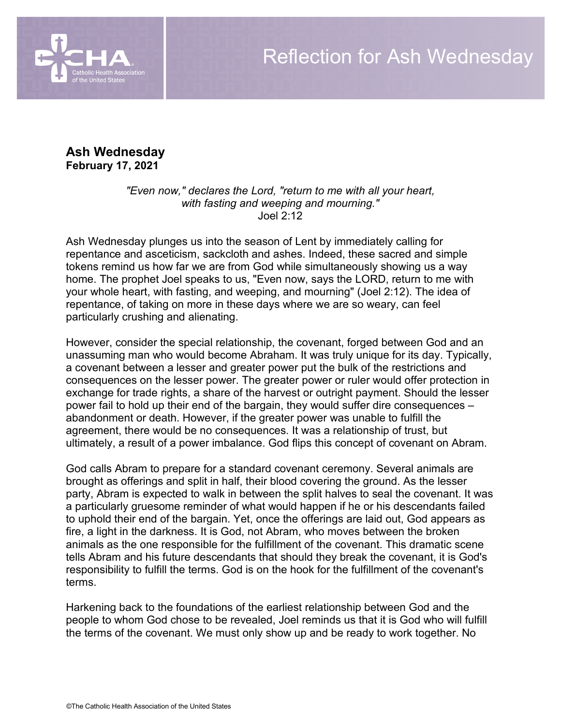

**Ash Wednesday February 17, 2021**

> *"Even now," declares the Lord, "return to me with all your heart, with fasting and weeping and mourning."*  Joel 2:12

Ash Wednesday plunges us into the season of Lent by immediately calling for repentance and asceticism, sackcloth and ashes. Indeed, these sacred and simple tokens remind us how far we are from God while simultaneously showing us a way home. The prophet Joel speaks to us, "Even now, says the LORD, return to me with your whole heart, with fasting, and weeping, and mourning" (Joel 2:12). The idea of repentance, of taking on more in these days where we are so weary, can feel particularly crushing and alienating.

However, consider the special relationship, the covenant, forged between God and an unassuming man who would become Abraham. It was truly unique for its day. Typically, a covenant between a lesser and greater power put the bulk of the restrictions and consequences on the lesser power. The greater power or ruler would offer protection in exchange for trade rights, a share of the harvest or outright payment. Should the lesser power fail to hold up their end of the bargain, they would suffer dire consequences – abandonment or death. However, if the greater power was unable to fulfill the agreement, there would be no consequences. It was a relationship of trust, but ultimately, a result of a power imbalance. God flips this concept of covenant on Abram.

God calls Abram to prepare for a standard covenant ceremony. Several animals are brought as offerings and split in half, their blood covering the ground. As the lesser party, Abram is expected to walk in between the split halves to seal the covenant. It was a particularly gruesome reminder of what would happen if he or his descendants failed to uphold their end of the bargain. Yet, once the offerings are laid out, God appears as fire, a light in the darkness. It is God, not Abram, who moves between the broken animals as the one responsible for the fulfillment of the covenant. This dramatic scene tells Abram and his future descendants that should they break the covenant, it is God's responsibility to fulfill the terms. God is on the hook for the fulfillment of the covenant's terms.

Harkening back to the foundations of the earliest relationship between God and the people to whom God chose to be revealed, Joel reminds us that it is God who will fulfill the terms of the covenant. We must only show up and be ready to work together. No